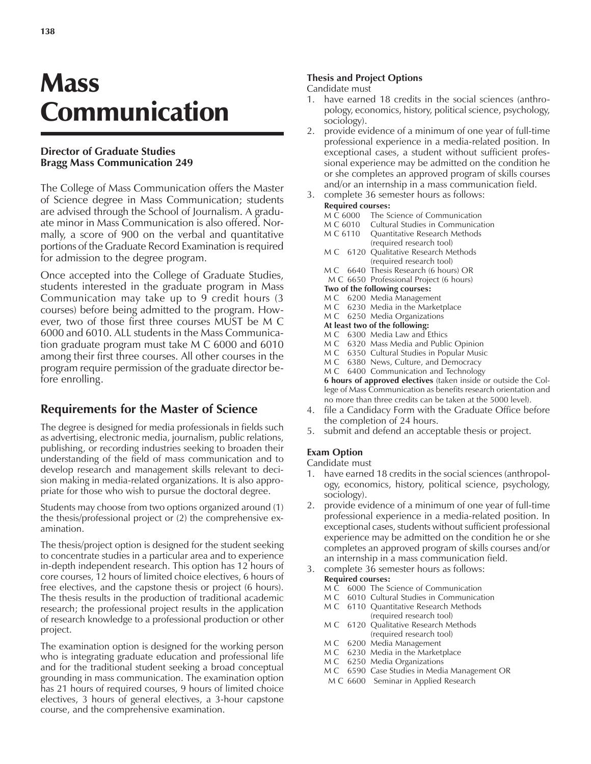# **Mass** Communication

## **Director of Graduate Studies Bragg Mass Communication 249**

The College of Mass Communication offers the Master of Science degree in Mass Communication; students are advised through the School of Journalism. A graduate minor in Mass Communication is also offered. Normally, a score of 900 on the verbal and quantitative portions of the Graduate Record Examination is required for admission to the degree program.

Once accepted into the College of Graduate Studies, students interested in the graduate program in Mass Communication may take up to 9 credit hours (3 courses) before being admitted to the program. However, two of those first three courses MUST be M C 6000 and 6010. ALL students in the Mass Communication graduate program must take M C 6000 and 6010 among their first three courses. All other courses in the program require permission of the graduate director before enrolling.

## **Requirements for the Master of Science**

The degree is designed for media professionals in fields such as advertising, electronic media, journalism, public relations, publishing, or recording industries seeking to broaden their understanding of the field of mass communication and to develop research and management skills relevant to decision making in media-related organizations. It is also appropriate for those who wish to pursue the doctoral degree.

Students may choose from two options organized around (1) the thesis/professional project or (2) the comprehensive examination.

The thesis/project option is designed for the student seeking to concentrate studies in a particular area and to experience in-depth independent research. This option has 12 hours of core courses, 12 hours of limited choice electives, 6 hours of free electives, and the capstone thesis or project (6 hours). The thesis results in the production of traditional academic research; the professional project results in the application of research knowledge to a professional production or other project.

The examination option is designed for the working person who is integrating graduate education and professional life and for the traditional student seeking a broad conceptual grounding in mass communication. The examination option has 21 hours of required courses, 9 hours of limited choice electives, 3 hours of general electives, a 3-hour capstone course, and the comprehensive examination.

#### **Thesis and Project Options**

#### Candidate must

- 1. have earned 18 credits in the social sciences (anthropology, economics, history, political science, psychology, sociology).
- 2. provide evidence of a minimum of one year of full-time professional experience in a media-related position. In exceptional cases, a student without sufficient professional experience may be admitted on the condition he or she completes an approved program of skills courses and/or an internship in a mass communication field.
- 3. complete 36 semester hours as follows:

#### **Required courses:**

| Required Courses.                                   |          |                                            |
|-----------------------------------------------------|----------|--------------------------------------------|
|                                                     | M C 6000 | The Science of Communication               |
|                                                     | M C 6010 | Cultural Studies in Communication          |
|                                                     | M C 6110 | Quantitative Research Methods              |
|                                                     |          | (required research tool)                   |
| M C                                                 |          | 6120 Qualitative Research Methods          |
|                                                     |          | (required research tool)                   |
|                                                     |          | M C 6640 Thesis Research (6 hours) OR      |
|                                                     |          | M C 6650 Professional Project (6 hours)    |
| Two of the following courses:                       |          |                                            |
|                                                     |          | M C 6200 Media Management                  |
|                                                     |          | M C 6230 Media in the Marketplace          |
|                                                     |          | M C 6250 Media Organizations               |
| At least two of the following:                      |          |                                            |
|                                                     |          | M C 6300 Media Law and Ethics              |
|                                                     |          | M C 6320 Mass Media and Public Opinion     |
|                                                     |          | M C 6350 Cultural Studies in Popular Music |
|                                                     |          | M C 6380 News, Culture, and Democracy      |
|                                                     |          | M C 6400 Communication and Technology      |
| 6 hours of approved electives (taken inside or outs |          |                                            |
| lege of Mass Communication as benefits research ori |          |                                            |

side the Colentation and no more than three credits can be taken at the 5000 level).

- 4. file a Candidacy Form with the Graduate Office before the completion of 24 hours.
- 5. submit and defend an acceptable thesis or project.

## **Exam Option**

Candidate must

- 1. have earned 18 credits in the social sciences (anthropology, economics, history, political science, psychology, sociology).
- 2. provide evidence of a minimum of one year of full-time professional experience in a media-related position. In exceptional cases, students without sufficient professional experience may be admitted on the condition he or she completes an approved program of skills courses and/or an internship in a mass communication field.
- 3. complete 36 semester hours as follows:
	- **Required courses:**
	- M C 6000 The Science of Communication
	- M C 6010 Cultural Studies in Communication
	- M C 6110 Quantitative Research Methods (required research tool)
	- M C 6120 Qualitative Research Methods (required research tool)
	- M C 6200 Media Management
	- M C 6230 Media in the Marketplace<br>M C 6250 Media Organizations
	- 6250 Media Organizations
	- M C 6590 Case Studies in Media Management OR
	- M C 6600 Seminar in Applied Research